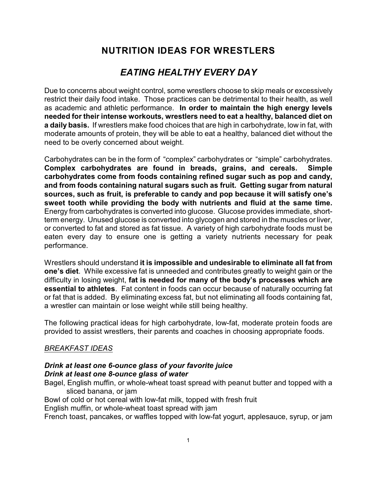## *EATING HEALTHY EVERY DAY*

Due to concerns about weight control, some wrestlers choose to skip meals or excessively restrict their daily food intake. Those practices can be detrimental to their health, as well as academic and athletic performance. **In order to maintain the high energy levels needed for their intense workouts, wrestlers need to eat a healthy, balanced diet on a daily basis.** If wrestlers make food choices that are high in carbohydrate, low in fat, with moderate amounts of protein, they will be able to eat a healthy, balanced diet without the need to be overly concerned about weight.

Carbohydrates can be in the form of "complex" carbohydrates or "simple" carbohydrates. **Complex carbohydrates are found in breads, grains, and cereals. Simple carbohydrates come from foods containing refined sugar such as pop and candy, and from foods containing natural sugars such as fruit. Getting sugar from natural sources, such as fruit, is preferable to candy and pop because it will satisfy one's sweet tooth while providing the body with nutrients and fluid at the same time.** Energy from carbohydrates is converted into glucose. Glucose provides immediate, shortterm energy. Unused glucose is converted into glycogen and stored in the muscles or liver, or converted to fat and stored as fat tissue. A variety of high carbohydrate foods must be eaten every day to ensure one is getting a variety nutrients necessary for peak performance.

Wrestlers should understand **it is impossible and undesirable to eliminate all fat from one's diet**. While excessive fat is unneeded and contributes greatly to weight gain or the difficulty in losing weight, **fat is needed for many of the body's processes which are essential to athletes**. Fat content in foods can occur because of naturally occurring fat or fat that is added. By eliminating excess fat, but not eliminating all foods containing fat, a wrestler can maintain or lose weight while still being healthy.

The following practical ideas for high carbohydrate, low-fat, moderate protein foods are provided to assist wrestlers, their parents and coaches in choosing appropriate foods.

#### *BREAKFAST IDEAS*

#### *Drink at least one 6-ounce glass of your favorite juice Drink at least one 8-ounce glass of water*

Bagel, English muffin, or whole-wheat toast spread with peanut butter and topped with a sliced banana, or jam

Bowl of cold or hot cereal with low-fat milk, topped with fresh fruit

English muffin, or whole-wheat toast spread with jam

French toast, pancakes, or waffles topped with low-fat yogurt, applesauce, syrup, or jam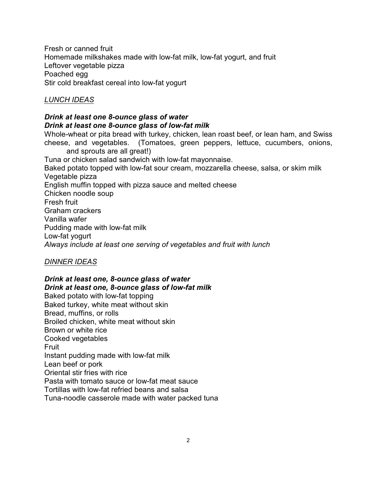Fresh or canned fruit Homemade milkshakes made with low-fat milk, low-fat yogurt, and fruit Leftover vegetable pizza Poached egg Stir cold breakfast cereal into low-fat yogurt

#### *LUNCH IDEAS*

#### *Drink at least one 8-ounce glass of water Drink at least one 8-ounce glass of low-fat milk*

Whole-wheat or pita bread with turkey, chicken, lean roast beef, or lean ham, and Swiss cheese, and vegetables. (Tomatoes, green peppers, lettuce, cucumbers, onions, and sprouts are all great!)

Tuna or chicken salad sandwich with low-fat mayonnaise. Baked potato topped with low-fat sour cream, mozzarella cheese, salsa, or skim milk Vegetable pizza English muffin topped with pizza sauce and melted cheese Chicken noodle soup Fresh fruit Graham crackers Vanilla wafer Pudding made with low-fat milk Low-fat yogurt *Always include at least one serving of vegetables and fruit with lunch*

## *DINNER IDEAS*

#### *Drink at least one, 8-ounce glass of water Drink at least one, 8-ounce glass of low-fat milk*

Baked potato with low-fat topping Baked turkey, white meat without skin Bread, muffins, or rolls Broiled chicken, white meat without skin Brown or white rice Cooked vegetables Fruit Instant pudding made with low-fat milk Lean beef or pork Oriental stir fries with rice Pasta with tomato sauce or low-fat meat sauce Tortillas with low-fat refried beans and salsa Tuna-noodle casserole made with water packed tuna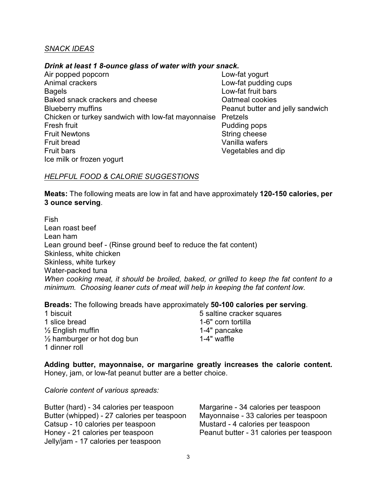#### *SNACK IDEAS*

#### *Drink at least 1 8-ounce glass of water with your snack.*

Air popped popcorn and the contract of the Low-fat yogurt Animal crackers **Low-fat pudding cups** Bagels **Bagels Bagels Bagels Bagels Bagels Example 2 Low-fat fruit bars** Baked snack crackers and cheese Oatmeal cookies Blueberry muffins **Peanut butter and jelly sandwich** Chicken or turkey sandwich with low-fat mayonnaise Pretzels Fresh fruit **Pudding pops** Fruit Newtons **String cheese** Fruit bread Vanilla wafers Fruit bars Vegetables and dip Ice milk or frozen yogurt

#### *HELPFUL FOOD & CALORIE SUGGESTIONS*

**Meats:** The following meats are low in fat and have approximately **120-150 calories, per 3 ounce serving**.

Fish Lean roast beef Lean ham Lean ground beef - (Rinse ground beef to reduce the fat content) Skinless, white chicken Skinless, white turkey Water-packed tuna *When cooking meat, it should be broiled, baked, or grilled to keep the fat content to a minimum. Choosing leaner cuts of meat will help in keeping the fat content low.* 

**Breads:** The following breads have approximately **50-100 calories per serving**.

1 biscuit **1** biscuit **1** biscuit 1 slice bread 1-6" corn tortilla  $\frac{1}{2}$  English muffin<br>  $\frac{1}{2}$  hamburger or hot dog bun<br>  $\frac{1}{2}$  hamburger or hot dog bun  $\frac{1}{2}$  hamburger or hot dog bun 1 dinner roll

**Adding butter, mayonnaise, or margarine greatly increases the calorie content.** Honey, jam, or low-fat peanut butter are a better choice.

*Calorie content of various spreads:*

Butter (hard) - 34 calories per teaspoon Margarine - 34 calories per teaspoon Butter (whipped) - 27 calories per teaspoon Mayonnaise - 33 calories per teaspoon Catsup - 10 calories per teaspoon Mustard - 4 calories per teaspoon Honey - 21 calories per teaspoon Peanut butter - 31 calories per teaspoon Jelly/jam - 17 calories per teaspoon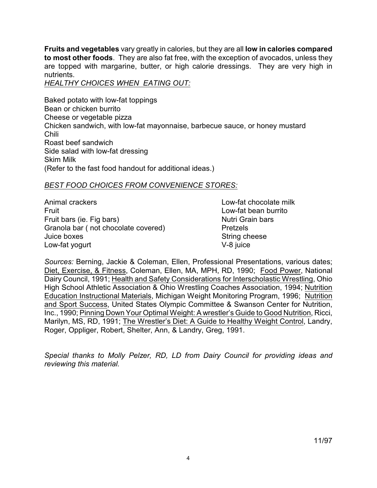**Fruits and vegetables** vary greatly in calories, but they are all **low in calories compared to most other foods**. They are also fat free, with the exception of avocados, unless they are topped with margarine, butter, or high calorie dressings. They are very high in nutrients.

*HEALTHY CHOICES WHEN EATING OUT:*

Baked potato with low-fat toppings Bean or chicken burrito Cheese or vegetable pizza Chicken sandwich, with low-fat mayonnaise, barbecue sauce, or honey mustard Chili Roast beef sandwich Side salad with low-fat dressing Skim Milk (Refer to the fast food handout for additional ideas.)

#### *BEST FOOD CHOICES FROM CONVENIENCE STORES:*

| Animal crackers                     | Low-fat chocolate milk |
|-------------------------------------|------------------------|
| Fruit                               | Low-fat bean burrito   |
| Fruit bars (ie. Fig bars)           | Nutri Grain bars       |
| Granola bar (not chocolate covered) | <b>Pretzels</b>        |
| Juice boxes                         | String cheese          |
| Low-fat yogurt                      | V-8 juice              |

*Sources:* Berning, Jackie & Coleman, Ellen, Professional Presentations, various dates; Diet, Exercise, & Fitness, Coleman, Ellen, MA, MPH, RD, 1990; Food Power, National Dairy Council, 1991; Health and Safety Considerations for Interscholastic Wrestling, Ohio High School Athletic Association & Ohio Wrestling Coaches Association, 1994; Nutrition Education Instructional Materials, Michigan Weight Monitoring Program, 1996; Nutrition and Sport Success, United States Olympic Committee & Swanson Center for Nutrition, Inc., 1990; Pinning Down Your Optimal Weight: A wrestler's Guide to Good Nutrition, Ricci, Marilyn, MS, RD, 1991; The Wrestler's Diet: A Guide to Healthy Weight Control, Landry, Roger, Oppliger, Robert, Shelter, Ann, & Landry, Greg, 1991.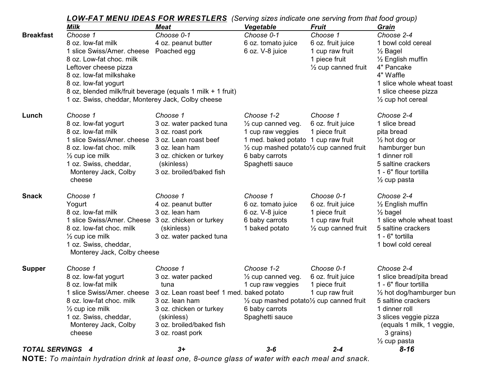|                         | <b>LOW-FAT MENU IDEAS FOR WRESTLERS</b> (Serving sizes indicate one serving from that food group) |                                                                      |                                                                |                                |                              |
|-------------------------|---------------------------------------------------------------------------------------------------|----------------------------------------------------------------------|----------------------------------------------------------------|--------------------------------|------------------------------|
|                         | Milk                                                                                              | <b>Meat</b>                                                          | Vegetable                                                      | <b>Fruit</b>                   | Grain                        |
| <b>Breakfast</b>        | Choose 1                                                                                          | Choose 0-1                                                           | Choose 0-1                                                     | Choose 1                       | Choose 2-4                   |
|                         | 8 oz. low-fat milk                                                                                | 4 oz. peanut butter                                                  | 6 oz. tomato juice                                             | 6 oz. fruit juice              | 1 bowl cold cereal           |
|                         | 1 slice Swiss/Amer. cheese                                                                        | Poached egg                                                          | 6 oz. V-8 juice                                                | 1 cup raw fruit                | 1/ <sub>2</sub> Bagel        |
|                         | 8 oz. Low-fat choc. milk                                                                          |                                                                      |                                                                | 1 piece fruit                  | $\frac{1}{2}$ English muffin |
|                         | Leftover cheese pizza                                                                             |                                                                      |                                                                | $\frac{1}{2}$ cup canned fruit | 4" Pancake                   |
|                         | 8 oz. low-fat milkshake                                                                           |                                                                      |                                                                |                                | 4" Waffle                    |
|                         | 8 oz. low-fat yogurt                                                                              |                                                                      |                                                                |                                | 1 slice whole wheat toast    |
|                         | 8 oz, blended milk/fruit beverage (equals 1 milk + 1 fruit)                                       |                                                                      |                                                                |                                | 1 slice cheese pizza         |
|                         | 1 oz. Swiss, cheddar, Monterey Jack, Colby cheese                                                 |                                                                      |                                                                |                                | $\frac{1}{2}$ cup hot cereal |
| Lunch                   | Choose 1                                                                                          | Choose 1                                                             | Choose 1-2                                                     | Choose 1                       | Choose 2-4                   |
|                         | 8 oz. low-fat yogurt                                                                              | 3 oz. water packed tuna                                              | $\frac{1}{2}$ cup canned veg.                                  | 6 oz. fruit juice              | 1 slice bread                |
|                         | 8 oz. low-fat milk                                                                                | 3 oz. roast pork                                                     | 1 cup raw veggies                                              | 1 piece fruit                  | pita bread                   |
|                         | 1 slice Swiss/Amer. cheese 3 oz. Lean roast beef                                                  |                                                                      | 1 med. baked potato 1 cup raw fruit                            |                                | $\frac{1}{2}$ hot dog or     |
|                         | 8 oz. low-fat choc. milk                                                                          | 3 oz. lean ham                                                       | $\frac{1}{2}$ cup mashed potato $\frac{1}{2}$ cup canned fruit |                                | hamburger bun                |
|                         | $\frac{1}{2}$ cup ice milk                                                                        | 3 oz. chicken or turkey                                              | 6 baby carrots                                                 |                                | 1 dinner roll                |
|                         | 1 oz. Swiss, cheddar,                                                                             | (skinless)                                                           | Spaghetti sauce                                                |                                | 5 saltine crackers           |
|                         | Monterey Jack, Colby                                                                              | 3 oz. broiled/baked fish                                             |                                                                |                                | 1 - 6" flour tortilla        |
|                         | cheese                                                                                            |                                                                      |                                                                |                                | $\frac{1}{2}$ cup pasta      |
| <b>Snack</b>            | Choose 1                                                                                          | Choose 1                                                             | Choose 1                                                       | Choose 0-1                     | Choose 2-4                   |
|                         | Yogurt                                                                                            | 4 oz. peanut butter                                                  | 6 oz. tomato juice                                             | 6 oz. fruit juice              | $\frac{1}{2}$ English muffin |
|                         | 8 oz. low-fat milk                                                                                | 3 oz. lean ham                                                       | 6 oz. V-8 juice                                                | 1 piece fruit                  | $\frac{1}{2}$ bagel          |
|                         | 1 slice Swiss/Amer. Cheese 3 oz. chicken or turkey                                                |                                                                      | 6 baby carrots                                                 | 1 cup raw fruit                | 1 slice whole wheat toast    |
|                         | 8 oz. low-fat choc. milk                                                                          | (skinless)                                                           | 1 baked potato                                                 | $\frac{1}{2}$ cup canned fruit | 5 saltine crackers           |
|                         | $\frac{1}{2}$ cup ice milk                                                                        | 3 oz. water packed tuna                                              |                                                                |                                | 1 - 6" tortilla              |
|                         | 1 oz. Swiss, cheddar,                                                                             |                                                                      |                                                                |                                | 1 bowl cold cereal           |
|                         | Monterey Jack, Colby cheese                                                                       |                                                                      |                                                                |                                |                              |
| <b>Supper</b>           | Choose 1                                                                                          | Choose 1                                                             | Choose 1-2                                                     | Choose 0-1                     | Choose 2-4                   |
|                         | 8 oz. low-fat yogurt                                                                              | 3 oz. water packed                                                   | $\frac{1}{2}$ cup canned veg.                                  | 6 oz. fruit juice              | 1 slice bread/pita bread     |
|                         | 8 oz. low-fat milk                                                                                | tuna                                                                 | 1 cup raw veggies                                              | 1 piece fruit                  | 1 - 6" flour tortilla        |
|                         |                                                                                                   | 1 slice Swiss/Amer. cheese 3 oz. Lean roast beef 1 med. baked potato |                                                                | 1 cup raw fruit                | 1/2 hot dog/hamburger bun    |
|                         | 8 oz. low-fat choc. milk                                                                          | 3 oz. lean ham                                                       | $\frac{1}{2}$ cup mashed potato $\frac{1}{2}$ cup canned fruit |                                | 5 saltine crackers           |
|                         | $\frac{1}{2}$ cup ice milk                                                                        | 3 oz. chicken or turkey                                              | 6 baby carrots                                                 |                                | 1 dinner roll                |
|                         | 1 oz. Swiss, cheddar,                                                                             | (skinless)                                                           | Spaghetti sauce                                                |                                | 3 slices veggie pizza        |
|                         | Monterey Jack, Colby                                                                              | 3 oz. broiled/baked fish                                             |                                                                |                                | (equals 1 milk, 1 veggie,    |
|                         | cheese                                                                                            | 3 oz. roast pork                                                     |                                                                |                                | 3 grains)                    |
|                         |                                                                                                   |                                                                      |                                                                |                                | $\frac{1}{2}$ cup pasta      |
| <b>TOTAL SERVINGS 4</b> |                                                                                                   | $3+$                                                                 | $3 - 6$                                                        | $2 - 4$                        | $8 - 16$                     |

**NOTE:** *To maintain hydration drink at least one, 8-ounce glass of water with each meal and snack.*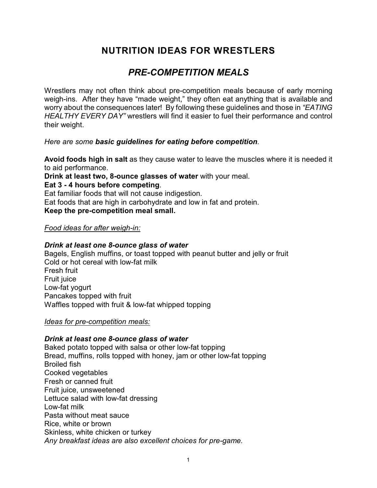## *PRE-COMPETITION MEALS*

Wrestlers may not often think about pre-competition meals because of early morning weigh-ins. After they have "made weight," they often eat anything that is available and worry about the consequences later! By following these guidelines and those in *"EATING HEALTHY EVERY DAY"* wrestlers will find it easier to fuel their performance and control their weight.

#### *Here are some basic guidelines for eating before competition.*

**Avoid foods high in salt** as they cause water to leave the muscles where it is needed it to aid performance.

**Drink at least two, 8-ounce glasses of water** with your meal.

**Eat 3 - 4 hours before competing**.

Eat familiar foods that will not cause indigestion.

Eat foods that are high in carbohydrate and low in fat and protein.

## **Keep the pre-competition meal small.**

#### *Food ideas for after weigh-in:*

#### *Drink at least one 8-ounce glass of water*

Bagels, English muffins, or toast topped with peanut butter and jelly or fruit Cold or hot cereal with low-fat milk Fresh fruit Fruit juice Low-fat yogurt Pancakes topped with fruit Waffles topped with fruit & low-fat whipped topping

#### *Ideas for pre-competition meals:*

## *Drink at least one 8-ounce glass of water*

Baked potato topped with salsa or other low-fat topping Bread, muffins, rolls topped with honey, jam or other low-fat topping Broiled fish Cooked vegetables Fresh or canned fruit Fruit juice, unsweetened Lettuce salad with low-fat dressing Low-fat milk Pasta without meat sauce Rice, white or brown Skinless, white chicken or turkey *Any breakfast ideas are also excellent choices for pre-game.*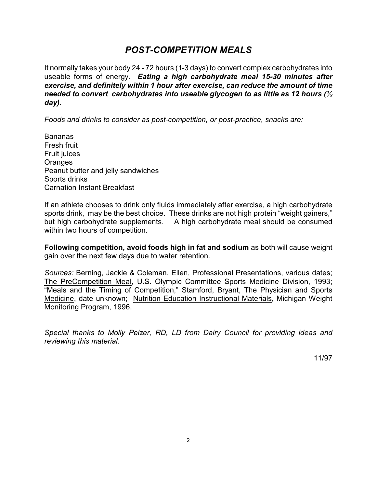## *POST-COMPETITION MEALS*

It normally takes your body 24 - 72 hours (1-3 days) to convert complex carbohydrates into useable forms of energy. *Eating a high carbohydrate meal 15-30 minutes after exercise, and definitely within 1 hour after exercise, can reduce the amount of time needed to convert carbohydrates into useable glycogen to as little as 12 hours (½ day).*

*Foods and drinks to consider as post-competition, or post-practice, snacks are:*

Bananas Fresh fruit Fruit juices **Oranges** Peanut butter and jelly sandwiches Sports drinks Carnation Instant Breakfast

If an athlete chooses to drink only fluids immediately after exercise, a high carbohydrate sports drink, may be the best choice. These drinks are not high protein "weight gainers," but high carbohydrate supplements. A high carbohydrate meal should be consumed within two hours of competition.

**Following competition, avoid foods high in fat and sodium** as both will cause weight gain over the next few days due to water retention.

*Sources:* Berning, Jackie & Coleman, Ellen, Professional Presentations, various dates; The PreCompetition Meal, U.S. Olympic Committee Sports Medicine Division, 1993; "Meals and the Timing of Competition," Stamford, Bryant, The Physician and Sports Medicine, date unknown; Nutrition Education Instructional Materials, Michigan Weight Monitoring Program, 1996.

*Special thanks to Molly Pelzer, RD, LD from Dairy Council for providing ideas and reviewing this material.*

11/97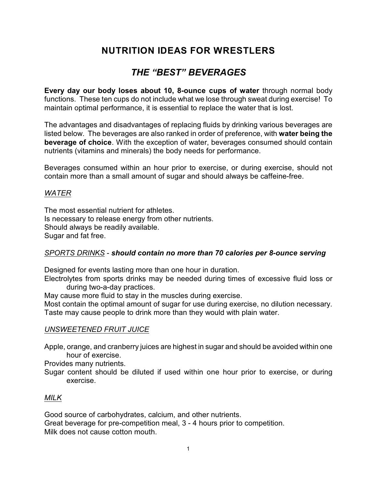## *THE "BEST" BEVERAGES*

**Every day our body loses about 10, 8-ounce cups of water** through normal body functions. These ten cups do not include what we lose through sweat during exercise! To maintain optimal performance, it is essential to replace the water that is lost.

The advantages and disadvantages of replacing fluids by drinking various beverages are listed below. The beverages are also ranked in order of preference, with **water being the beverage of choice**. With the exception of water, beverages consumed should contain nutrients (vitamins and minerals) the body needs for performance.

Beverages consumed within an hour prior to exercise, or during exercise, should not contain more than a small amount of sugar and should always be caffeine-free.

## *WATER*

The most essential nutrient for athletes. Is necessary to release energy from other nutrients. Should always be readily available. Sugar and fat free.

#### *SPORTS DRINKS* - *should contain no more than 70 calories per 8-ounce serving*

Designed for events lasting more than one hour in duration.

Electrolytes from sports drinks may be needed during times of excessive fluid loss or during two-a-day practices.

May cause more fluid to stay in the muscles during exercise.

Most contain the optimal amount of sugar for use during exercise, no dilution necessary. Taste may cause people to drink more than they would with plain water.

## *UNSWEETENED FRUIT JUICE*

Apple, orange, and cranberry juices are highest in sugar and should be avoided within one hour of exercise.

Provides many nutrients.

Sugar content should be diluted if used within one hour prior to exercise, or during exercise.

## *MILK*

Good source of carbohydrates, calcium, and other nutrients. Great beverage for pre-competition meal, 3 - 4 hours prior to competition. Milk does not cause cotton mouth.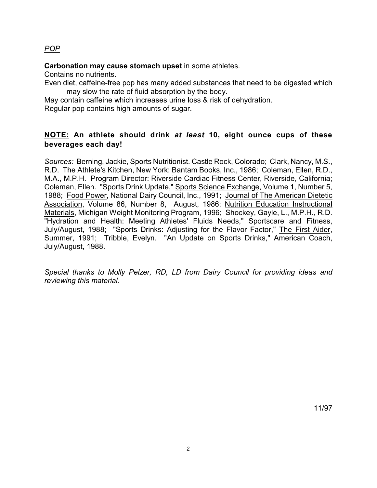## *POP*

#### **Carbonation may cause stomach upset** in some athletes.

Contains no nutrients.

Even diet, caffeine-free pop has many added substances that need to be digested which may slow the rate of fluid absorption by the body.

May contain caffeine which increases urine loss & risk of dehydration. Regular pop contains high amounts of sugar.

## **NOTE: An athlete should drink** *at least* **10, eight ounce cups of these beverages each day!**

*Sources:* Berning, Jackie, Sports Nutritionist. Castle Rock, Colorado; Clark, Nancy, M.S., R.D. The Athlete's Kitchen, New York: Bantam Books, Inc., 1986; Coleman, Ellen, R.D., M.A., M.P.H. Program Director: Riverside Cardiac Fitness Center, Riverside, California; Coleman, Ellen. "Sports Drink Update," Sports Science Exchange, Volume 1, Number 5, 1988; Food Power, National Dairy Council, Inc., 1991; Journal of The American Dietetic Association, Volume 86, Number 8, August, 1986; Nutrition Education Instructional Materials, Michigan Weight Monitoring Program, 1996; Shockey, Gayle, L., M.P.H., R.D. "Hydration and Health: Meeting Athletes' Fluids Needs," Sportscare and Fitness, July/August, 1988; "Sports Drinks: Adjusting for the Flavor Factor," The First Aider, Summer, 1991; Tribble, Evelyn. "An Update on Sports Drinks," American Coach, July/August, 1988.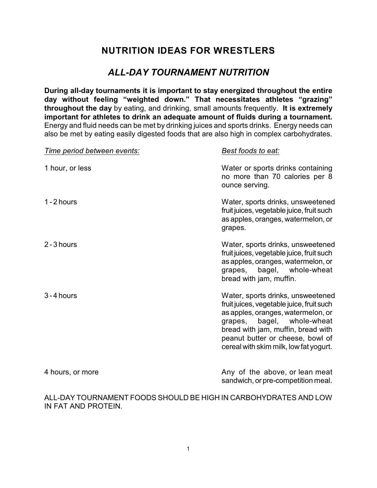## *ALL-DAY TOURNAMENT NUTRITION*

**During all-day tournaments it is important to stay energized throughout the entire day without feeling "weighted down." That necessitates athletes "grazing" throughout the day** by eating, and drinking, small amounts frequently. **It is extremely important for athletes to drink an adequate amount of fluids during a tournament.** Energy and fluid needs can be met by drinking juices and sports drinks. Energy needs can also be met by eating easily digested foods that are also high in complex carbohydrates.

| Time period between events: | Best foods to eat:                                                                                                                                                                                                                                                     |
|-----------------------------|------------------------------------------------------------------------------------------------------------------------------------------------------------------------------------------------------------------------------------------------------------------------|
| 1 hour, or less             | Water or sports drinks containing<br>no more than 70 calories per 8<br>ounce serving.                                                                                                                                                                                  |
| 1 - 2 hours                 | Water, sports drinks, unsweetened<br>fruit juices, vegetable juice, fruit such<br>as apples, oranges, watermelon, or<br>grapes.                                                                                                                                        |
| 2 - 3 hours                 | Water, sports drinks, unsweetened<br>fruit juices, vegetable juice, fruit such<br>as apples, oranges, watermelon, or<br>grapes, bagel, whole-wheat<br>bread with jam, muffin.                                                                                          |
| 3 - 4 hours                 | Water, sports drinks, unsweetened<br>fruit juices, vegetable juice, fruit such<br>as apples, oranges, watermelon, or<br>grapes, bagel, whole-wheat<br>bread with jam, muffin, bread with<br>peanut butter or cheese, bowl of<br>cereal with skim milk, low fat yogurt. |
| 4 hours, or more            | Any of the above, or lean meat<br>sandwich, or pre-competition meal.                                                                                                                                                                                                   |

ALL-DAY TOURNAMENT FOODS SHOULD BE HIGH IN CARBOHYDRATES AND LOW IN FAT AND PROTEIN.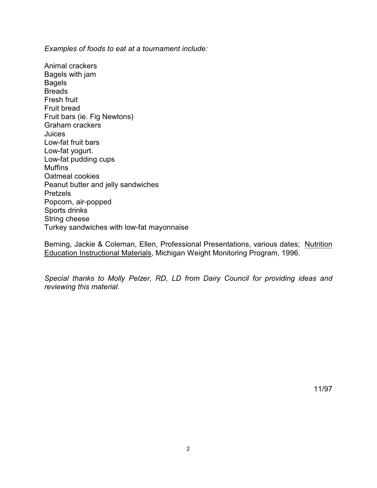*Examples of foods to eat at a tournament include:*

Animal crackers Bagels with jam Bagels Breads Fresh fruit Fruit bread Fruit bars (ie. Fig Newtons) Graham crackers Juices Low-fat fruit bars Low-fat yogurt. Low-fat pudding cups Muffins Oatmeal cookies Peanut butter and jelly sandwiches Pretzels Popcorn, air-popped Sports drinks String cheese Turkey sandwiches with low-fat mayonnaise

Berning, Jackie & Coleman, Ellen, Professional Presentations, various dates; Nutrition Education Instructional Materials, Michigan Weight Monitoring Program, 1996.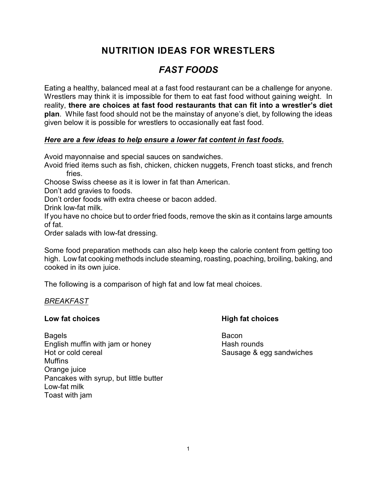# *FAST FOODS*

Eating a healthy, balanced meal at a fast food restaurant can be a challenge for anyone. Wrestlers may think it is impossible for them to eat fast food without gaining weight. In reality, **there are choices at fast food restaurants that can fit into a wrestler's diet plan**. While fast food should not be the mainstay of anyone's diet, by following the ideas given below it is possible for wrestlers to occasionally eat fast food.

## *Here are a few ideas to help ensure a lower fat content in fast foods.*

Avoid mayonnaise and special sauces on sandwiches.

Avoid fried items such as fish, chicken, chicken nuggets, French toast sticks, and french fries.

Choose Swiss cheese as it is lower in fat than American.

Don't add gravies to foods.

Don't order foods with extra cheese or bacon added.

Drink low-fat milk.

If you have no choice but to order fried foods, remove the skin as it contains large amounts of fat.

Order salads with low-fat dressing.

Some food preparation methods can also help keep the calorie content from getting too high. Low fat cooking methods include steaming, roasting, poaching, broiling, baking, and cooked in its own juice.

The following is a comparison of high fat and low fat meal choices.

## *BREAKFAST*

Bagels **Bagels** Bacon English muffin with jam or honey Hash rounds Hot or cold cereal Sausage & egg sandwiches **Muffins** Orange juice Pancakes with syrup, but little butter Low-fat milk Toast with jam

## **Low fat choices High fat choices**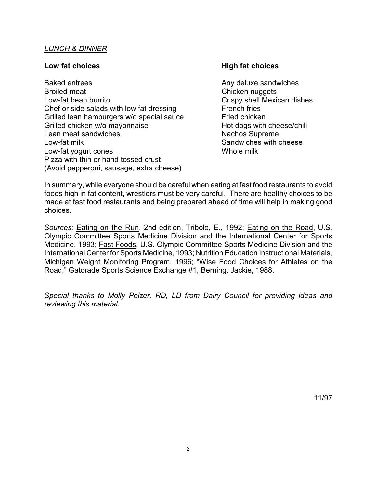#### *LUNCH & DINNER*

Baked entrees Any deluxe sandwiches Broiled meat **Chicken nuggets** Low-fat bean burrito Crispy shell Mexican dishes Chef or side salads with low fat dressing French fries Grilled lean hamburgers w/o special sauce Fried chicken Grilled chicken w/o mayonnaise Hot dogs with cheese/chili Lean meat sandwiches Nachos Supreme Low-fat milk Sandwiches with cheese Low-fat yogurt cones Network Contract Contract Whole milk Pizza with thin or hand tossed crust (Avoid pepperoni, sausage, extra cheese)

#### **Low fat choices High fat choices**

In summary, while everyone should be careful when eating at fast food restaurants to avoid foods high in fat content, wrestlers must be very careful. There are healthy choices to be made at fast food restaurants and being prepared ahead of time will help in making good choices.

*Sources:* Eating on the Run, 2nd edition, Tribolo, E., 1992; Eating on the Road, U.S. Olympic Committee Sports Medicine Division and the International Center for Sports Medicine, 1993; Fast Foods, U.S. Olympic Committee Sports Medicine Division and the International Center for Sports Medicine, 1993; Nutrition Education Instructional Materials, Michigan Weight Monitoring Program, 1996; "Wise Food Choices for Athletes on the Road," Gatorade Sports Science Exchange #1, Berning, Jackie, 1988.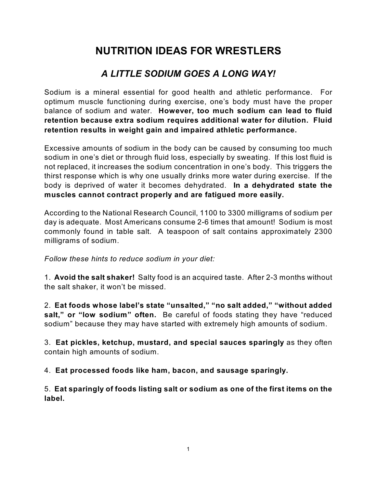# *A LITTLE SODIUM GOES A LONG WAY!*

Sodium is a mineral essential for good health and athletic performance. For optimum muscle functioning during exercise, one's body must have the proper balance of sodium and water. **However, too much sodium can lead to fluid retention because extra sodium requires additional water for dilution. Fluid retention results in weight gain and impaired athletic performance.**

Excessive amounts of sodium in the body can be caused by consuming too much sodium in one's diet or through fluid loss, especially by sweating. If this lost fluid is not replaced, it increases the sodium concentration in one's body. This triggers the thirst response which is why one usually drinks more water during exercise. If the body is deprived of water it becomes dehydrated. **In a dehydrated state the muscles cannot contract properly and are fatigued more easily.**

According to the National Research Council, 1100 to 3300 milligrams of sodium per day is adequate. Most Americans consume 2-6 times that amount! Sodium is most commonly found in table salt. A teaspoon of salt contains approximately 2300 milligrams of sodium.

*Follow these hints to reduce sodium in your diet:*

1. **Avoid the salt shaker!** Salty food is an acquired taste. After 2-3 months without the salt shaker, it won't be missed.

2. **Eat foods whose label's state "unsalted," "no salt added," "without added salt," or "low sodium" often.** Be careful of foods stating they have "reduced sodium" because they may have started with extremely high amounts of sodium.

3. **Eat pickles, ketchup, mustard, and special sauces sparingly** as they often contain high amounts of sodium.

4. **Eat processed foods like ham, bacon, and sausage sparingly.**

5. **Eat sparingly of foods listing salt or sodium as one of the first items on the label.**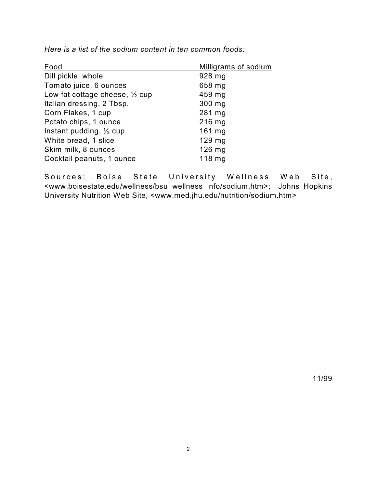| Food                                      | Milligrams of sodium |
|-------------------------------------------|----------------------|
| Dill pickle, whole                        | 928 mg               |
| Tomato juice, 6 ounces                    | 658 mg               |
| Low fat cottage cheese, $\frac{1}{2}$ cup | 459 mg               |
| Italian dressing, 2 Tbsp.                 | $300$ mg             |
| Corn Flakes, 1 cup                        | 281 mg               |
| Potato chips, 1 ounce                     | $216$ mg             |
| Instant pudding, $\frac{1}{2}$ cup        | $161$ mg             |
| White bread, 1 slice                      | $129$ mg             |
| Skim milk, 8 ounces                       | $126$ mg             |
| Cocktail peanuts, 1 ounce                 | $118$ mg             |

*Here is a list of the sodium content in ten common foods:*

Sources: Boise State University Wellness Web Site, <www.boisestate.edu/wellness/bsu\_wellness\_info/sodium.htm>; Johns Hopkins University Nutrition Web Site, <www.med.jhu.edu/nutrition/sodium.htm>

11/99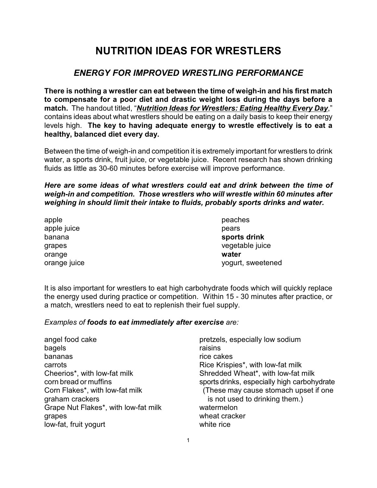## *ENERGY FOR IMPROVED WRESTLING PERFORMANCE*

**There is nothing a wrestler can eat between the time of weigh-in and his first match to compensate for a poor diet and drastic weight loss during the days before a match.** The handout titled, "*Nutrition Ideas for Wrestlers: Eating Healthy Every Day*," contains ideas about what wrestlers should be eating on a daily basis to keep their energy levels high. **The key to having adequate energy to wrestle effectively is to eat a healthy, balanced diet every day.**

Between the time of weigh-in and competition it is extremely important for wrestlers to drink water, a sports drink, fruit juice, or vegetable juice. Recent research has shown drinking fluids as little as 30-60 minutes before exercise will improve performance.

*Here are some ideas of what wrestlers could eat and drink between the time of weigh-in and competition. Those wrestlers who will wrestle within 60 minutes after weighing in should limit their intake to fluids, probably sports drinks and water.*

apple peaches apple juice pears and the pears of the pears of the pears of the pears of the pears of the pears of the pears of the pears of the pears of the pears of the pears of the pears of the pears of the pears of the pears of the p orange **water**

banana **sports drink** grapes vegetable juice orange juice yogurt, sweetened

It is also important for wrestlers to eat high carbohydrate foods which will quickly replace the energy used during practice or competition. Within 15 - 30 minutes after practice, or a match, wrestlers need to eat to replenish their fuel supply.

#### *Examples of foods to eat immediately after exercise are:*

angel food cake pretzels, especially low sodium bagels **bagels raisins** bananas rice cakes carrots **Rice Krispies**\*, with low-fat milk Cheerios\*, with low-fat milk Shredded Wheat\*, with low-fat milk graham crackers is not used to drinking them.) Grape Nut Flakes<sup>\*</sup>, with low-fat milk watermelon grapes wheat cracker low-fat, fruit yogurt white rice

corn bread or muffins sports drinks, especially high carbohydrate Corn Flakes\*, with low-fat milk (These may cause stomach upset if one